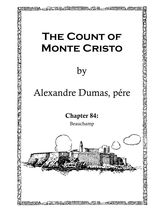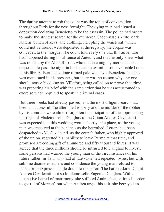The daring attempt to rob the count was the topic of conversation throughout Paris for the next fortnight. The dying man had signed a deposition declaring Benedetto to be the assassin. The police had orders to make the strictest search for the murderer. Caderousse's knife, dark lantern, bunch of keys, and clothing, excepting the waistcoat, which could not be found, were deposited at the registry; the corpse was conveyed to the morgue. The count told every one that this adventure had happened during his absence at Auteuil, and that he only knew what was related by the Abbe Busoni, who that evening, by mere chance, had requested to pass the night in his house, to examine some valuable books in his library. Bertuccio alone turned pale whenever Benedetto's name was mentioned in his presence, but there was no reason why any one should notice his doing so. Villefort, being called on to prove the crime, was preparing his brief with the same ardor that he was accustomed to exercise when required to speak in criminal cases.

But three weeks had already passed, and the most diligent search had been unsuccessful; the attempted robbery and the murder of the robber by his comrade were almost forgotten in anticipation of the approaching marriage of Mademoiselle Danglars to the Count Andrea Cavalcanti. It was expected that this wedding would shortly take place, as the young man was received at the banker's as the betrothed. Letters had been despatched to M. Cavalcanti, as the count's father, who highly approved of the union, regretted his inability to leave Parma at that time, and promised a wedding gift of a hundred and fifty thousand livres. It was agreed that the three millions should be intrusted to Danglars to invest; some persons had warned the young man of the circumstances of his future father–in–law, who had of late sustained repeated losses; but with sublime disinterestedness and confidence the young man refused to listen, or to express a single doubt to the baron. The baron adored Count Andrea Cavalcanti: not so Mademoiselle Eugenie Danglars. With an instinctive hatred of matrimony, she suffered Andrea's attentions in order to get rid of Morcerf; but when Andrea urged his suit, she betrayed an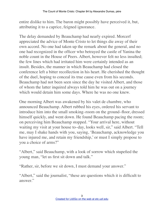entire dislike to him. The baron might possibly have perceived it, but, attributing it to a caprice, feigned ignorance.

The delay demanded by Beauchamp had nearly expired. Morcerf appreciated the advice of Monte Cristo to let things die away of their own accord. No one had taken up the remark about the general, and no one had recognized in the officer who betrayed the castle of Yanina the noble count in the House of Peers. Albert, however felt no less insulted; the few lines which had irritated him were certainly intended as an insult. Besides, the manner in which Beauchamp had closed the conference left a bitter recollection in his heart. He cherished the thought of the duel, hoping to conceal its true cause even from his seconds. Beauchamp had not been seen since the day he visited Albert, and those of whom the latter inquired always told him he was out on a journey which would detain him some days. Where he was no one knew.

One morning Albert was awakened by his valet de chambre, who announced Beauchamp. Albert rubbed his eyes, ordered his servant to introduce him into the small smoking–room on the ground–floor, dressed himself quickly, and went down. He found Beauchamp pacing the room; on perceiving him Beauchamp stopped. "Your arrival here, without waiting my visit at your house to–day, looks well, sir," said Albert. "Tell me, may I shake hands with you, saying, 'Beauchamp, acknowledge you have injured me, and retain my friendship,' or must I simply propose to you a choice of arms?"

"Albert," said Beauchamp, with a look of sorrow which stupefied the young man, "let us first sit down and talk."

"Rather, sir, before we sit down, I must demand your answer."

"Albert," said the journalist, "these are questions which it is difficult to answer."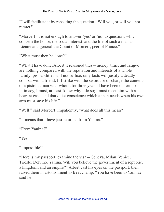"I will facilitate it by repeating the question, 'Will you, or will you not, retract?"

"Morcerf, it is not enough to answer 'yes' or 'no' to questions which concern the honor, the social interest, and the life of such a man as Lieutenant–general the Count of Morcerf, peer of France."

"What must then be done?"

"What I have done, Albert. I reasoned thus—money, time, and fatigue are nothing compared with the reputation and interests of a whole family; probabilities will not suffice, only facts will justify a deadly combat with a friend. If I strike with the sword, or discharge the contents of a pistol at man with whom, for three years, I have been on terms of intimacy, I must, at least, know why I do so; I must meet him with a heart at ease, and that quiet conscience which a man needs when his own arm must save his life."

"Well," said Morcerf, impatiently, "what does all this mean?"

"It means that I have just returned from Yanina."

"From Yanina?"

"Yes."

"Impossible!"

"Here is my passport; examine the visa—Geneva, Milan, Venice, Trieste, Delvino, Yanina. Will you believe the government of a republic, a kingdom, and an empire?" Albert cast his eyes on the passport, then raised them in astonishment to Beauchamp. "You have been to Yanina?" said he.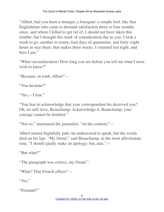"Albert, had you been a stranger, a foreigner, a simple lord, like that Englishman who came to demand satisfaction three or four months since, and whom I killed to get rid of, I should not have taken this trouble; but I thought this mark of consideration due to you. I took a week to go, another to return, four days of quarantine, and forty–eight hours to stay there; that makes three weeks. I returned last night, and here I am."

"What circumlocution! How long you are before you tell me what I most wish to know?"

"Because, in truth, Albert"—

"You hesitate?"

"Yes,—I fear."

"You fear to acknowledge that your correspondent his deceived you? Oh, no self–love, Beauchamp. Acknowledge it, Beauchamp; your courage cannot be doubted."

"Not so," murmured the journalist; "on the contrary"—

Albert turned frightfully pale; he endeavored to speak, but the words died on his lips. "My friend," said Beauchamp, in the most affectionate tone, "I should gladly make an apology; but, alas,"—

"But what?"

"The paragraph was correct, my friend."

"What? That French officer"—

"Yes."

"Fernand?"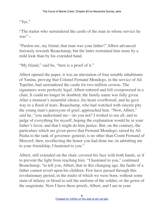"Yes."

"The traitor who surrendered the castle of the man in whose service he was"—

"Pardon me, my friend, that man was your father!" Albert advanced furiously towards Beauchamp, but the latter restrained him more by a mild look than by his extended hand.

"My friend," said he, "here is a proof of it."

Albert opened the paper, it was an attestation of four notable inhabitants of Yanina, proving that Colonel Fernand Mondego, in the service of Ali Tepelini, had surrendered the castle for two million crowns. The signatures were perfectly legal. Albert tottered and fell overpowered in a chair. It could no longer be doubted; the family name was fully given. After a moment's mournful silence, his heart overflowed, and he gave way to a flood of tears. Beauchamp, who had watched with sincere pity the young man's paroxysm of grief, approached him. "Now, Albert," said he, "you understand me—do you not? I wished to see all, and to judge of everything for myself, hoping the explanation would be in your father's favor, and that I might do him justice. But, on the contrary, the particulars which are given prove that Fernand Mondego, raised by Ali Pasha to the rank of governor–general, is no other than Count Fernand of Morcerf; then, recollecting the honor you had done me, in admitting me to your friendship, I hastened to you."

Albert, still extended on the chair, covered his face with both hands, as if to prevent the light from reaching him. "I hastened to you," continued Beauchamp, "to tell you, Albert, that in this changing age, the faults of a father cannot revert upon his children. Few have passed through this revolutionary period, in the midst of which we were born, without some stain of infamy or blood to soil the uniform of the soldier, or the gown of the magistrate. Now I have these proofs, Albert, and I am in your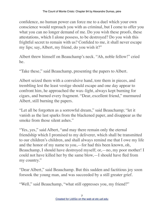confidence, no human power can force me to a duel which your own conscience would reproach you with as criminal, but I come to offer you what you can no longer demand of me. Do you wish these proofs, these attestations, which I alone possess, to be destroyed? Do you wish this frightful secret to remain with us? Confided to me, it shall never escape my lips; say, Albert, my friend, do you wish it?"

Albert threw himself on Beauchamp's neck. "Ah, noble fellow!" cried he.

"Take these," said Beauchamp, presenting the papers to Albert.

Albert seized them with a convulsive hand, tore them in pieces, and trembling lest the least vestige should escape and one day appear to confront him, he approached the wax–light, always kept burning for cigars, and burned every fragment. "Dear, excellent friend," murmured Albert, still burning the papers.

"Let all be forgotten as a sorrowful dream," said Beauchamp; "let it vanish as the last sparks from the blackened paper, and disappear as the smoke from those silent ashes."

"Yes, yes," said Albert, "and may there remain only the eternal friendship which I promised to my deliverer, which shall be transmitted to our children's children, and shall always remind me that I owe my life and the honor of my name to you,—for had this been known, oh, Beauchamp, I should have destroyed myself; or,—no, my poor mother! I could not have killed her by the same blow,—I should have fled from my country."

"Dear Albert," said Beauchamp. But this sudden and factitious joy soon forsook the young man, and was succeeded by a still greater grief.

"Well," said Beauchamp, "what still oppresses you, my friend?"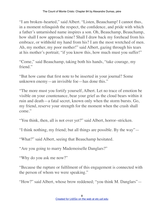"I am broken–hearted," said Albert. "Listen, Beauchamp! I cannot thus, in a moment relinquish the respect, the confidence, and pride with which a father's untarnished name inspires a son. Oh, Beauchamp, Beauchamp, how shall I now approach mine? Shall I draw back my forehead from his embrace, or withhold my hand from his? I am the most wretched of men. Ah, my mother, my poor mother!" said Albert, gazing through his tears at his mother's portrait; "if you know this, how much must you suffer!"

"Come," said Beauchamp, taking both his hands, "take courage, my friend."

"But how came that first note to be inserted in your journal? Some unknown enemy—an invisible foe—has done this."

"The more must you fortify yourself, Albert. Let no trace of emotion be visible on your countenance, bear your grief as the cloud bears within it ruin and death—a fatal secret, known only when the storm bursts. Go, my friend, reserve your strength for the moment when the crash shall come."

"You think, then, all is not over yet?" said Albert, horror–stricken.

"I think nothing, my friend; but all things are possible. By the way"—

"What?" said Albert, seeing that Beauchamp hesitated.

"Are you going to marry Mademoiselle Danglars?"

"Why do you ask me now?"

"Because the rupture or fulfilment of this engagement is connected with the person of whom we were speaking."

"How?" said Albert, whose brow reddened; "you think M. Danglars"—